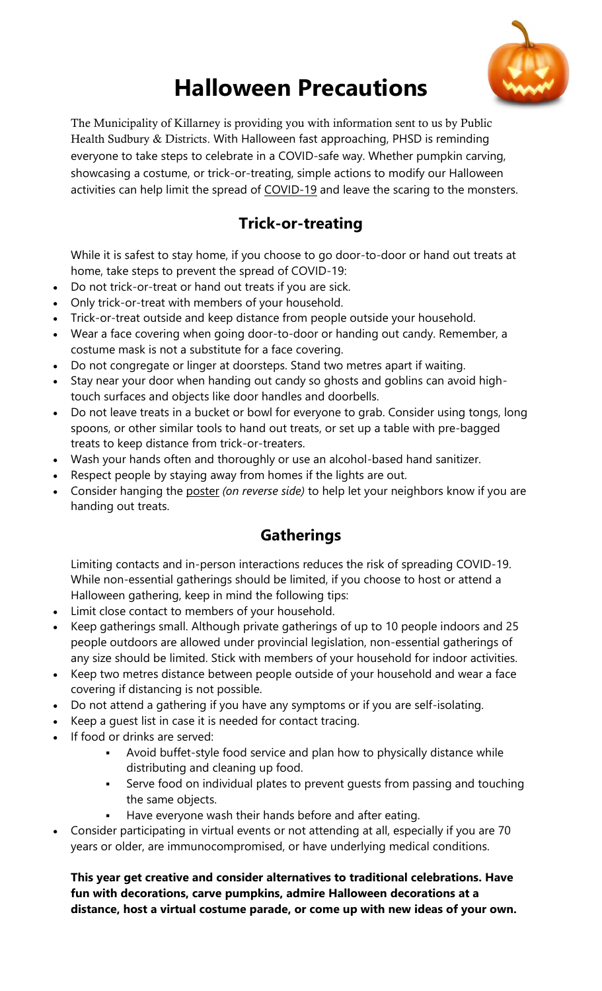

## **Halloween Precautions**

The Municipality of Killarney is providing you with information sent to us by Public Health Sudbury & Districts. With Halloween fast approaching, PHSD is reminding everyone to take steps to celebrate in a COVID-safe way. Whether pumpkin carving, showcasing a costume, or trick-or-treating, simple actions to modify our Halloween activities can help limit the spread of COVID-19 and leave the scaring to the monsters.

## **Trick-or-treating**

While it is safest to stay home, if you choose to go door-to-door or hand out treats at home, take steps to prevent the spread of COVID-19:

- Do not trick-or-treat or hand out treats if you are sick.
- Only trick-or-treat with members of your household.
- Trick-or-treat outside and keep distance from people outside your household.
- Wear a face covering when going door-to-door or handing out candy. Remember, a costume mask is not a substitute for a face covering.
- Do not congregate or linger at doorsteps. Stand two metres apart if waiting.
- Stay near your door when handing out candy so ghosts and goblins can avoid hightouch surfaces and objects like door handles and doorbells.
- Do not leave treats in a bucket or bowl for everyone to grab. Consider using tongs, long spoons, or other similar tools to hand out treats, or set up a table with pre-bagged treats to keep distance from trick-or-treaters.
- Wash your hands often and thoroughly or use an alcohol-based hand sanitizer.
- Respect people by staying away from homes if the lights are out.
- Consider hanging the poster *(on reverse side)* to help let your neighbors know if you are handing out treats.

## **Gatherings**

Limiting contacts and in-person interactions reduces the risk of spreading COVID-19. While non-essential gatherings should be limited, if you choose to host or attend a Halloween gathering, keep in mind the following tips:

- Limit close contact to members of your household.
- Keep gatherings small. Although private gatherings of up to 10 people indoors and 25 people outdoors are allowed under provincial legislation, non-essential gatherings of any size should be limited. Stick with members of your household for indoor activities.
- Keep two metres distance between people outside of your household and wear a face covering if distancing is not possible.
- Do not attend a gathering if you have any symptoms or if you are self-isolating.
- Keep a guest list in case it is needed for contact tracing.
- If food or drinks are served:
	- Avoid buffet-style food service and plan how to physically distance while distributing and cleaning up food.
	- Serve food on individual plates to prevent guests from passing and touching the same objects.
	- Have everyone wash their hands before and after eating.
- Consider participating in virtual events or not attending at all, especially if you are 70 years or older, are immunocompromised, or have underlying medical conditions.

**This year get creative and consider alternatives to traditional celebrations. Have fun with decorations, carve pumpkins, admire Halloween decorations at a distance, host a virtual costume parade, or come up with new ideas of your own.**